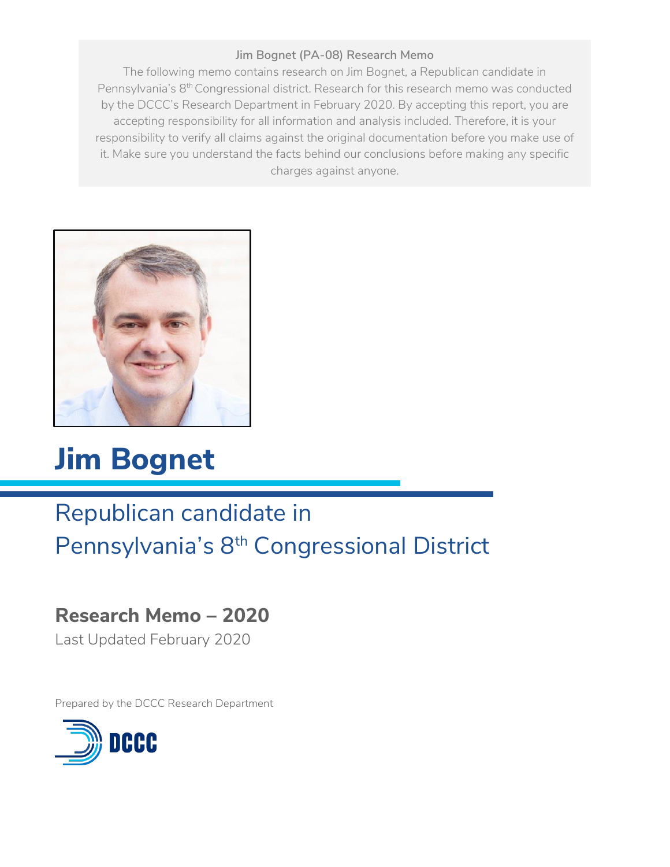# **Jim Bognet (PA-08) Research Memo**

The following memo contains research on Jim Bognet, a Republican candidate in Pennsylvania's 8<sup>th</sup> Congressional district. Research for this research memo was conducted by the DCCC's Research Department in February 2020. By accepting this report, you are accepting responsibility for all information and analysis included. Therefore, it is your responsibility to verify all claims against the original documentation before you make use of it. Make sure you understand the facts behind our conclusions before making any specific charges against anyone.



# **Jim Bognet**

# Republican candidate in Pennsylvania's 8th Congressional District

# **Research Memo – 2020**

Last Updated February 2020

Prepared by the DCCC Research Department

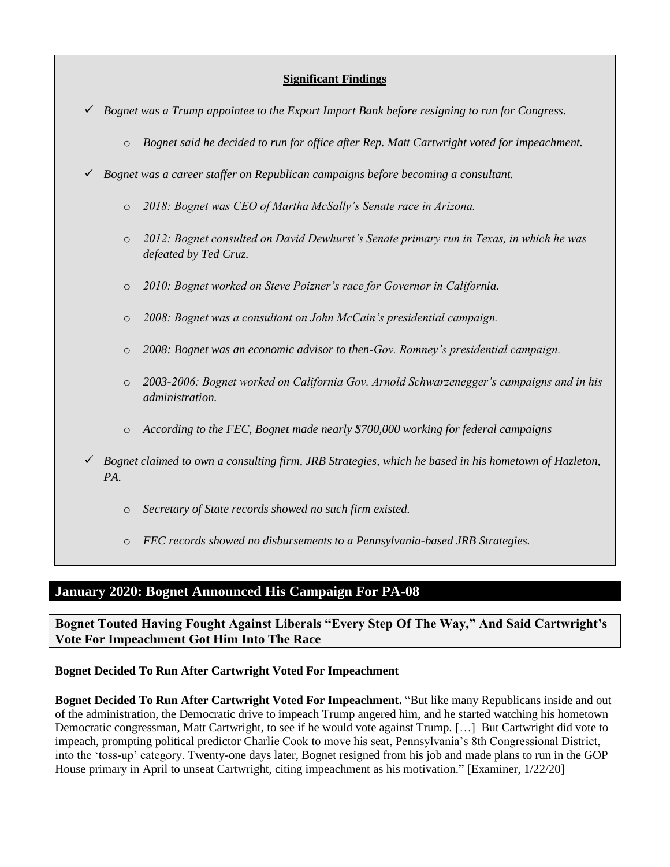#### **Significant Findings**

- ✓ *Bognet was a Trump appointee to the Export Import Bank before resigning to run for Congress.* 
	- o *Bognet said he decided to run for office after Rep. Matt Cartwright voted for impeachment.*
- ✓ *Bognet was a career staffer on Republican campaigns before becoming a consultant.* 
	- o *2018: Bognet was CEO of Martha McSally's Senate race in Arizona.*
	- o *2012: Bognet consulted on David Dewhurst's Senate primary run in Texas, in which he was defeated by Ted Cruz.*
	- o *2010: Bognet worked on Steve Poizner's race for Governor in California.*
	- o *2008: Bognet was a consultant on John McCain's presidential campaign.*
	- o *2008: Bognet was an economic advisor to then-Gov. Romney's presidential campaign.*
	- o *2003-2006: Bognet worked on California Gov. Arnold Schwarzenegger's campaigns and in his administration.*
	- o *According to the FEC, Bognet made nearly \$700,000 working for federal campaigns*
- ✓ *Bognet claimed to own a consulting firm, JRB Strategies, which he based in his hometown of Hazleton, PA.*
	- o *Secretary of State records showed no such firm existed.*
	- o *FEC records showed no disbursements to a Pennsylvania-based JRB Strategies.*

# **January 2020: Bognet Announced His Campaign For PA-08**

**Bognet Touted Having Fought Against Liberals "Every Step Of The Way," And Said Cartwright's Vote For Impeachment Got Him Into The Race** 

#### **Bognet Decided To Run After Cartwright Voted For Impeachment**

**Bognet Decided To Run After Cartwright Voted For Impeachment.** "But like many Republicans inside and out of the administration, the Democratic drive to impeach Trump angered him, and he started watching his hometown Democratic congressman, Matt Cartwright, to see if he would vote against Trump. […] But Cartwright did vote to impeach, prompting political predictor Charlie Cook to move his seat, Pennsylvania's 8th Congressional District, into the 'toss-up' category. Twenty-one days later, Bognet resigned from his job and made plans to run in the GOP House primary in April to unseat Cartwright, citing impeachment as his motivation." [Examiner, 1/22/20]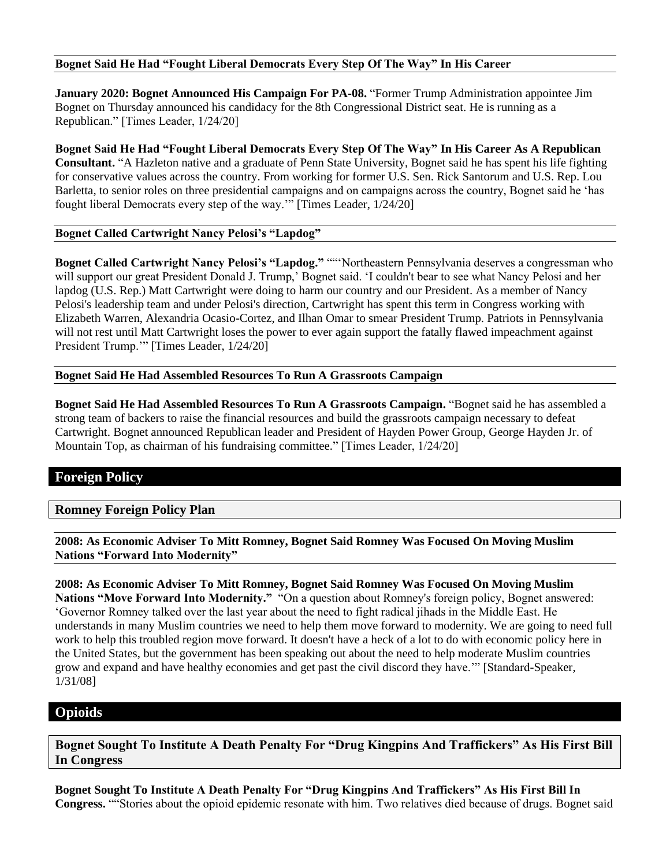#### **Bognet Said He Had "Fought Liberal Democrats Every Step Of The Way" In His Career**

**January 2020: Bognet Announced His Campaign For PA-08.** "Former Trump Administration appointee Jim Bognet on Thursday announced his candidacy for the 8th Congressional District seat. He is running as a Republican." [Times Leader, 1/24/20]

**Bognet Said He Had "Fought Liberal Democrats Every Step Of The Way" In His Career As A Republican Consultant.** "A Hazleton native and a graduate of Penn State University, Bognet said he has spent his life fighting for conservative values across the country. From working for former U.S. Sen. Rick Santorum and U.S. Rep. Lou Barletta, to senior roles on three presidential campaigns and on campaigns across the country, Bognet said he 'has fought liberal Democrats every step of the way.'" [Times Leader, 1/24/20]

#### **Bognet Called Cartwright Nancy Pelosi's "Lapdog"**

**Bognet Called Cartwright Nancy Pelosi's "Lapdog."** ""'Northeastern Pennsylvania deserves a congressman who will support our great President Donald J. Trump,' Bognet said. 'I couldn't bear to see what Nancy Pelosi and her lapdog (U.S. Rep.) Matt Cartwright were doing to harm our country and our President. As a member of Nancy Pelosi's leadership team and under Pelosi's direction, Cartwright has spent this term in Congress working with Elizabeth Warren, Alexandria Ocasio-Cortez, and Ilhan Omar to smear President Trump. Patriots in Pennsylvania will not rest until Matt Cartwright loses the power to ever again support the fatally flawed impeachment against President Trump.'" [Times Leader, 1/24/20]

#### **Bognet Said He Had Assembled Resources To Run A Grassroots Campaign**

**Bognet Said He Had Assembled Resources To Run A Grassroots Campaign.** "Bognet said he has assembled a strong team of backers to raise the financial resources and build the grassroots campaign necessary to defeat Cartwright. Bognet announced Republican leader and President of Hayden Power Group, George Hayden Jr. of Mountain Top, as chairman of his fundraising committee." [Times Leader, 1/24/20]

# **Foreign Policy**

#### **Romney Foreign Policy Plan**

**2008: As Economic Adviser To Mitt Romney, Bognet Said Romney Was Focused On Moving Muslim Nations "Forward Into Modernity"** 

**2008: As Economic Adviser To Mitt Romney, Bognet Said Romney Was Focused On Moving Muslim Nations "Move Forward Into Modernity."** "On a question about Romney's foreign policy, Bognet answered: 'Governor Romney talked over the last year about the need to fight radical jihads in the Middle East. He understands in many Muslim countries we need to help them move forward to modernity. We are going to need full work to help this troubled region move forward. It doesn't have a heck of a lot to do with economic policy here in the United States, but the government has been speaking out about the need to help moderate Muslim countries grow and expand and have healthy economies and get past the civil discord they have.'" [Standard-Speaker, 1/31/08]

# **Opioids**

**Bognet Sought To Institute A Death Penalty For "Drug Kingpins And Traffickers" As His First Bill In Congress** 

**Bognet Sought To Institute A Death Penalty For "Drug Kingpins And Traffickers" As His First Bill In Congress.** ""Stories about the opioid epidemic resonate with him. Two relatives died because of drugs. Bognet said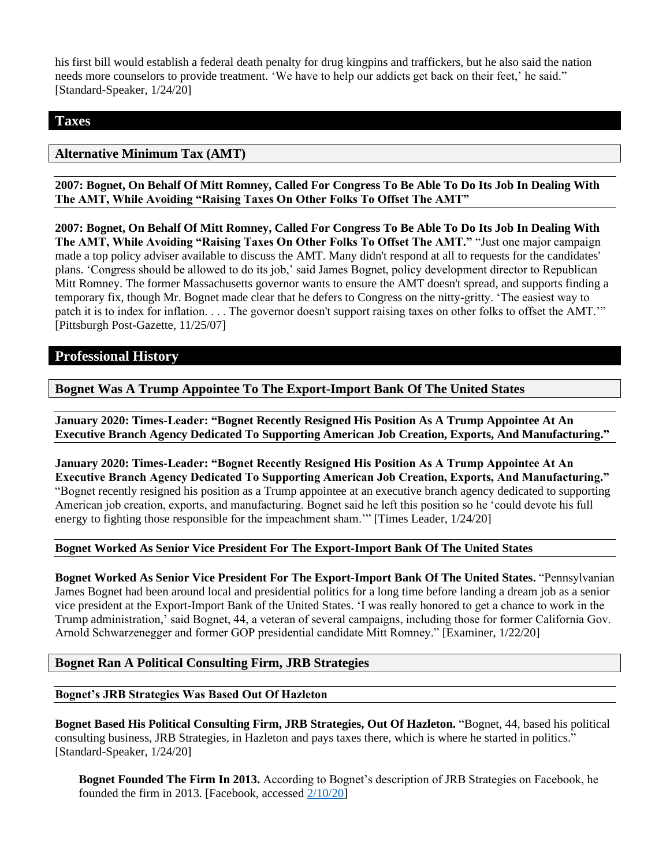his first bill would establish a federal death penalty for drug kingpins and traffickers, but he also said the nation needs more counselors to provide treatment. 'We have to help our addicts get back on their feet,' he said." [Standard-Speaker, 1/24/20]

#### **Taxes**

## **Alternative Minimum Tax (AMT)**

**2007: Bognet, On Behalf Of Mitt Romney, Called For Congress To Be Able To Do Its Job In Dealing With The AMT, While Avoiding "Raising Taxes On Other Folks To Offset The AMT"** 

**2007: Bognet, On Behalf Of Mitt Romney, Called For Congress To Be Able To Do Its Job In Dealing With The AMT, While Avoiding "Raising Taxes On Other Folks To Offset The AMT."** "Just one major campaign made a top policy adviser available to discuss the AMT. Many didn't respond at all to requests for the candidates' plans. 'Congress should be allowed to do its job,' said James Bognet, policy development director to Republican Mitt Romney. The former Massachusetts governor wants to ensure the AMT doesn't spread, and supports finding a temporary fix, though Mr. Bognet made clear that he defers to Congress on the nitty-gritty. 'The easiest way to patch it is to index for inflation. . . . The governor doesn't support raising taxes on other folks to offset the AMT.'" [Pittsburgh Post-Gazette, 11/25/07]

## **Professional History**

**Bognet Was A Trump Appointee To The Export-Import Bank Of The United States** 

**January 2020: Times-Leader: "Bognet Recently Resigned His Position As A Trump Appointee At An Executive Branch Agency Dedicated To Supporting American Job Creation, Exports, And Manufacturing."** 

**January 2020: Times-Leader: "Bognet Recently Resigned His Position As A Trump Appointee At An Executive Branch Agency Dedicated To Supporting American Job Creation, Exports, And Manufacturing."** "Bognet recently resigned his position as a Trump appointee at an executive branch agency dedicated to supporting American job creation, exports, and manufacturing. Bognet said he left this position so he 'could devote his full energy to fighting those responsible for the impeachment sham.'" [Times Leader, 1/24/20]

#### **Bognet Worked As Senior Vice President For The Export-Import Bank Of The United States**

**Bognet Worked As Senior Vice President For The Export-Import Bank Of The United States.** "Pennsylvanian James Bognet had been around local and presidential politics for a long time before landing a dream job as a senior vice president at the Export-Import Bank of the United States. 'I was really honored to get a chance to work in the Trump administration,' said Bognet, 44, a veteran of several campaigns, including those for former California Gov. Arnold Schwarzenegger and former GOP presidential candidate Mitt Romney." [Examiner, 1/22/20]

#### **Bognet Ran A Political Consulting Firm, JRB Strategies**

#### **Bognet's JRB Strategies Was Based Out Of Hazleton**

**Bognet Based His Political Consulting Firm, JRB Strategies, Out Of Hazleton.** "Bognet, 44, based his political consulting business, JRB Strategies, in Hazleton and pays taxes there, which is where he started in politics." [Standard-Speaker, 1/24/20]

**Bognet Founded The Firm In 2013.** According to Bognet's description of JRB Strategies on Facebook, he founded the firm in 2013. [Facebook, accessed  $\frac{2}{10/20}$ ]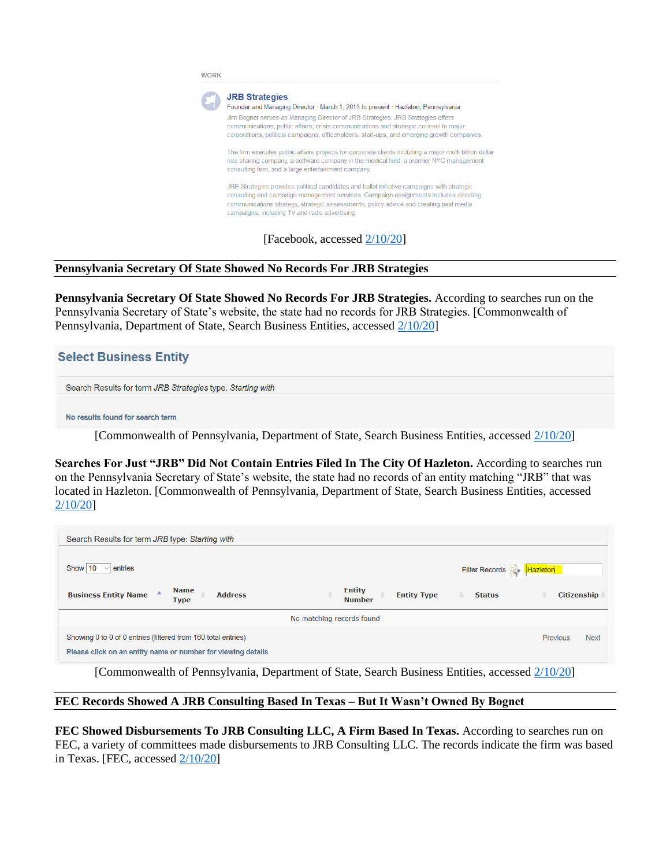

#### **Pennsylvania Secretary Of State Showed No Records For JRB Strategies**

**Pennsylvania Secretary Of State Showed No Records For JRB Strategies.** According to searches run on the Pennsylvania Secretary of State's website, the state had no records for JRB Strategies. [Commonwealth of Pennsylvania, Department of State, Search Business Entities, accessed [2/10/20\]](https://www.corporations.pa.gov/search/corpsearch)

#### **Select Business Entity**

Search Results for term JRB Strategies type: Starting with

No results found for search term

[Commonwealth of Pennsylvania, Department of State, Search Business Entities, accessed [2/10/20\]](https://www.corporations.pa.gov/search/corpsearch)

**Searches For Just "JRB" Did Not Contain Entries Filed In The City Of Hazleton.** According to searches run on the Pennsylvania Secretary of State's website, the state had no records of an entity matching "JRB" that was located in Hazleton. [Commonwealth of Pennsylvania, Department of State, Search Business Entities, accessed [2/10/20\]](https://www.corporations.pa.gov/search/corpsearch)

| Search Results for term JRB type: Starting with                                                                                                                 |                                                      |                                |                    |  |
|-----------------------------------------------------------------------------------------------------------------------------------------------------------------|------------------------------------------------------|--------------------------------|--------------------|--|
| Show 10<br>entries<br>$\vee$                                                                                                                                    |                                                      | Filter Records <b>Hazleton</b> |                    |  |
| <b>Name</b><br><b>Business Entity Name</b><br><b>Address</b><br><b>Type</b>                                                                                     | <b>Entity</b><br><b>Entity Type</b><br><b>Number</b> | <b>Status</b>                  | <b>Citizenship</b> |  |
|                                                                                                                                                                 | No matching records found                            |                                |                    |  |
| Showing 0 to 0 of 0 entries (filtered from 160 total entries)<br><b>Previous</b><br><b>Next</b><br>Please click on an entity name or number for viewing details |                                                      |                                |                    |  |

[Commonwealth of Pennsylvania, Department of State, Search Business Entities, accessed [2/10/20\]](https://www.corporations.pa.gov/search/corpsearch)

#### **FEC Records Showed A JRB Consulting Based In Texas – But It Wasn't Owned By Bognet**

**FEC Showed Disbursements To JRB Consulting LLC, A Firm Based In Texas.** According to searches run on FEC, a variety of committees made disbursements to JRB Consulting LLC. The records indicate the firm was based in Texas. [FEC, accessed  $2/10/20$ ]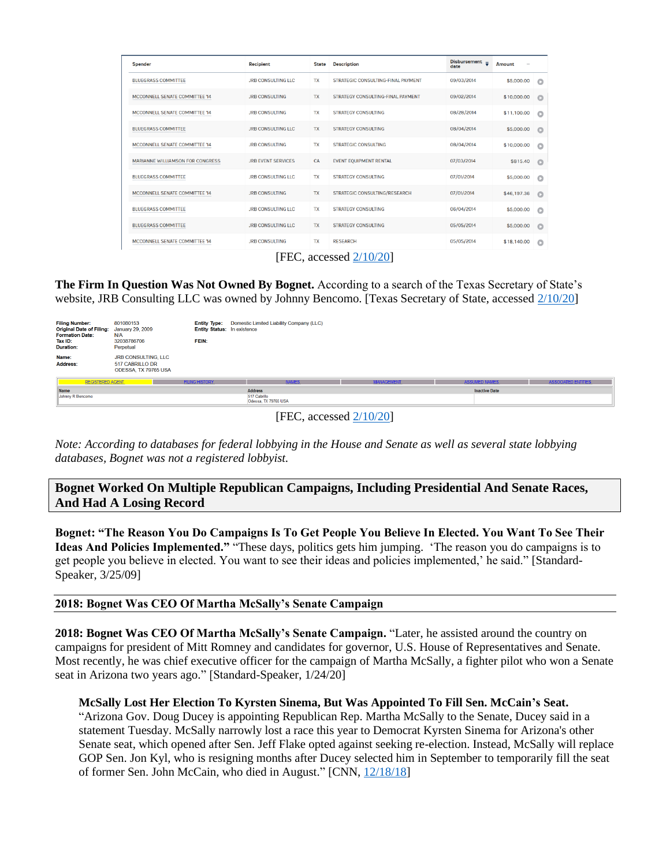| Spender                          | Recipient                 | <b>State</b> | <b>Description</b>                 | <b>Disbursement</b><br>$\overline{\phantom{a}}$<br>date | <b>Amount</b><br>$\overline{\phantom{a}}$ |          |
|----------------------------------|---------------------------|--------------|------------------------------------|---------------------------------------------------------|-------------------------------------------|----------|
| <b>BLUEGRASS COMMITTEE</b>       | <b>JRB CONSULTING LLC</b> | <b>TX</b>    | STRATEGIC CONSULTING-FINAL PAYMENT | 09/03/2014                                              | \$5,000.00                                | $\circ$  |
| MCCONNELL SENATE COMMITTEE '14   | <b>JRB CONSULTING</b>     | <b>TX</b>    | STRATEGY CONSULTING-FINAL PAYMENT  | 09/02/2014                                              | \$10,000.00                               | Ō        |
| MCCONNELL SENATE COMMITTEE '14   | <b>JRB CONSULTING</b>     | TX           | <b>STRATEGY CONSULTING</b>         | 08/28/2014                                              | \$11,100.00                               | o        |
| <b>BLUEGRASS COMMITTEE</b>       | <b>JRB CONSULTING LLC</b> | TX           | <b>STRATEGY CONSULTING</b>         | 08/04/2014                                              | \$5,000.00                                | o        |
| MCCONNELL SENATE COMMITTEE '14   | <b>JRB CONSULTING</b>     | <b>TX</b>    | <b>STRATEGIC CONSULTING</b>        | 08/04/2014                                              | \$10,000.00                               | o        |
| MARIANNE WILLIAMSON FOR CONGRESS | <b>JRB EVENT SERVICES</b> | CA           | <b>EVENT EQUIPMENT RENTAL</b>      | 07/03/2014                                              | \$815.40                                  | $\circ$  |
| <b>BLUEGRASS COMMITTEE</b>       | <b>JRB CONSULTING LLC</b> | TX           | <b>STRATEGY CONSULTING</b>         | 07/01/2014                                              | \$5,000.00                                | $\Omega$ |
| MCCONNELL SENATE COMMITTEE '14   | <b>JRB CONSULTING</b>     | <b>TX</b>    | STRATEGIC CONSULTING/RESEARCH      | 07/01/2014                                              | \$46,197.36                               | $\circ$  |
| <b>BLUEGRASS COMMITTEE</b>       | <b>JRB CONSULTING LLC</b> | <b>TX</b>    | <b>STRATEGY CONSULTING</b>         | 06/04/2014                                              | \$5,000.00                                | $\circ$  |
| <b>BLUEGRASS COMMITTEE</b>       | <b>JRB CONSULTING LLC</b> | <b>TX</b>    | <b>STRATEGY CONSULTING</b>         | 05/05/2014                                              | \$5,000.00                                | $\circ$  |
| MCCONNELL SENATE COMMITTEE '14   | <b>JRB CONSULTING</b>     | <b>TX</b>    | <b>RESEARCH</b>                    | 05/05/2014                                              | \$18,140.00                               | $\circ$  |
| 'EE6                             |                           |              |                                    |                                                         |                                           |          |

[FEC, accessed  $2/10/20$ ]

**The Firm In Question Was Not Owned By Bognet.** According to a search of the Texas Secretary of State's website, JRB Consulting LLC was owned by Johnny Bencomo. [Texas Secretary of State, accessed  $2/10/20$ ]

| <b>Filing Number:</b><br>Original Date of Filing: January 29, 2009<br><b>Formation Date:</b><br>Tax ID:<br>Duration: | 801080153<br>N/A<br>32038786706<br>Perpetual                   | <b>Entity Type:</b><br><b>Entity Status: In existence</b><br>FEIN: | Domestic Limited Liability Company (LLC)               |                   |                      |                            |
|----------------------------------------------------------------------------------------------------------------------|----------------------------------------------------------------|--------------------------------------------------------------------|--------------------------------------------------------|-------------------|----------------------|----------------------------|
| Name:<br>Address:                                                                                                    | JRB CONSULTING, LLC<br>517 CABRILLO DR<br>ODESSA, TX 79765 USA |                                                                    |                                                        |                   |                      |                            |
| <b>REGISTERED AGENT</b>                                                                                              |                                                                | <b>FILING HISTORY</b>                                              | <b>NAMES</b>                                           | <b>MANAGEMENT</b> | <b>ASSUMED NAMES</b> | <b>ASSOCIATED ENTITIES</b> |
| <b>Name</b><br>Johnny R Bencomo                                                                                      |                                                                |                                                                    | <b>Address</b><br>517 Cabrillo<br>Odessa, TX 79765 USA |                   | <b>Inactive Date</b> |                            |

[FEC, accessed [2/10/20\]](https://www.fec.gov/data/disbursements/?data_type=processed&recipient_name=JRB&recipient_name=JRB+Strategies&two_year_transaction_period=2008&two_year_transaction_period=2010&two_year_transaction_period=2012&two_year_transaction_period=2014&two_year_transaction_period=2016&two_year_transaction_period=2018&two_year_transaction_period=2020)

*Note: According to databases for federal lobbying in the House and Senate as well as several state lobbying databases, Bognet was not a registered lobbyist.* 

**Bognet Worked On Multiple Republican Campaigns, Including Presidential And Senate Races, And Had A Losing Record** 

**Bognet: "The Reason You Do Campaigns Is To Get People You Believe In Elected. You Want To See Their Ideas And Policies Implemented."** "These days, politics gets him jumping. 'The reason you do campaigns is to get people you believe in elected. You want to see their ideas and policies implemented,' he said." [Standard-Speaker, 3/25/09]

#### **2018: Bognet Was CEO Of Martha McSally's Senate Campaign**

**2018: Bognet Was CEO Of Martha McSally's Senate Campaign.** "Later, he assisted around the country on campaigns for president of Mitt Romney and candidates for governor, U.S. House of Representatives and Senate. Most recently, he was chief executive officer for the campaign of Martha McSally, a fighter pilot who won a Senate seat in Arizona two years ago." [Standard-Speaker, 1/24/20]

#### **McSally Lost Her Election To Kyrsten Sinema, But Was Appointed To Fill Sen. McCain's Seat.**

"Arizona Gov. Doug Ducey is appointing Republican Rep. Martha McSally to the Senate, Ducey said in a statement Tuesday. McSally narrowly lost a race this year to Democrat Kyrsten Sinema for Arizona's other Senate seat, which opened after Sen. Jeff Flake opted against seeking re-election. Instead, McSally will replace GOP Sen. Jon Kyl, who is resigning months after Ducey selected him in September to temporarily fill the seat of former Sen. John McCain, who died in August." [CNN, [12/18/18\]](https://www.cnn.com/2018/12/18/politics/martha-mcsally-arizona-senate/index.html)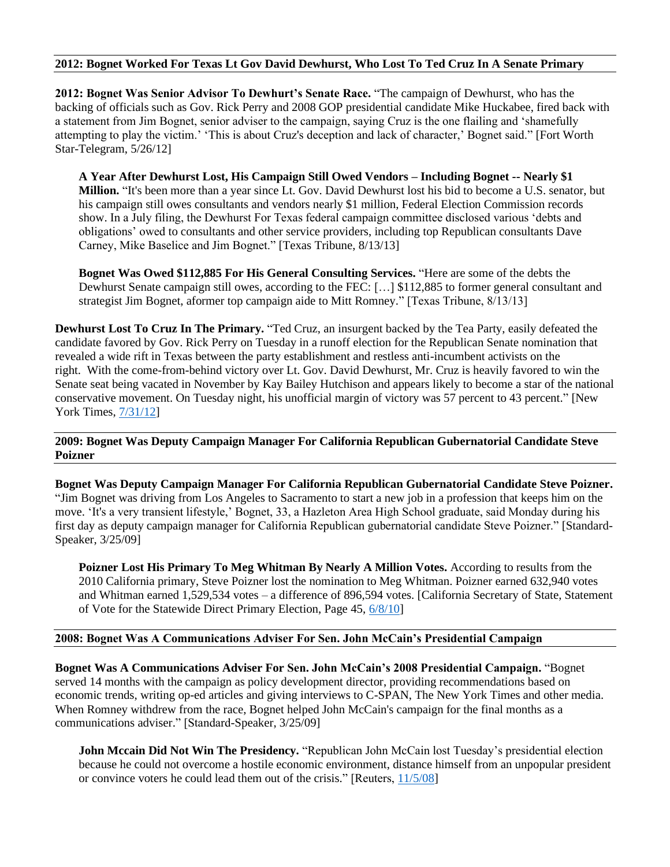#### **2012: Bognet Worked For Texas Lt Gov David Dewhurst, Who Lost To Ted Cruz In A Senate Primary**

**2012: Bognet Was Senior Advisor To Dewhurt's Senate Race.** "The campaign of Dewhurst, who has the backing of officials such as Gov. Rick Perry and 2008 GOP presidential candidate Mike Huckabee, fired back with a statement from Jim Bognet, senior adviser to the campaign, saying Cruz is the one flailing and 'shamefully attempting to play the victim.' 'This is about Cruz's deception and lack of character,' Bognet said." [Fort Worth Star-Telegram, 5/26/12]

**A Year After Dewhurst Lost, His Campaign Still Owed Vendors – Including Bognet -- Nearly \$1 Million.** "It's been more than a year since Lt. Gov. David Dewhurst lost his bid to become a U.S. senator, but his campaign still owes consultants and vendors nearly \$1 million, Federal Election Commission records show. In a July filing, the Dewhurst For Texas federal campaign committee disclosed various 'debts and obligations' owed to consultants and other service providers, including top Republican consultants Dave Carney, Mike Baselice and Jim Bognet." [Texas Tribune, 8/13/13]

**Bognet Was Owed \$112,885 For His General Consulting Services.** "Here are some of the debts the Dewhurst Senate campaign still owes, according to the FEC: […] \$112,885 to former general consultant and strategist Jim Bognet, aformer top campaign aide to Mitt Romney." [Texas Tribune, 8/13/13]

**Dewhurst Lost To Cruz In The Primary.** "Ted Cruz, an insurgent backed by the Tea Party, easily defeated the candidate favored by Gov. Rick Perry on Tuesday in a runoff election for the Republican Senate nomination that revealed a wide rift in Texas between the party establishment and restless anti-incumbent activists on the right. With the come-from-behind victory over Lt. Gov. David Dewhurst, Mr. Cruz is heavily favored to win the Senate seat being vacated in November by Kay Bailey Hutchison and appears likely to become a star of the national conservative movement. On Tuesday night, his unofficial margin of victory was 57 percent to 43 percent." [New York Times[, 7/31/12\]](https://www.nytimes.com/2012/08/01/us/politics/cruz-defeats-dewhurst-for-gop-nomination-in-texas-senate-race.html)

#### **2009: Bognet Was Deputy Campaign Manager For California Republican Gubernatorial Candidate Steve Poizner**

**Bognet Was Deputy Campaign Manager For California Republican Gubernatorial Candidate Steve Poizner.**  "Jim Bognet was driving from Los Angeles to Sacramento to start a new job in a profession that keeps him on the move. 'It's a very transient lifestyle,' Bognet, 33, a Hazleton Area High School graduate, said Monday during his first day as deputy campaign manager for California Republican gubernatorial candidate Steve Poizner." [Standard-Speaker, 3/25/09]

**Poizner Lost His Primary To Meg Whitman By Nearly A Million Votes.** According to results from the 2010 California primary, Steve Poizner lost the nomination to Meg Whitman. Poizner earned 632,940 votes and Whitman earned 1,529,534 votes – a difference of 896,594 votes. [California Secretary of State, Statement of Vote for the Statewide Direct Primary Election, Page 45, [6/8/10\]](https://elections.cdn.sos.ca.gov/sov/2010-primary/pdf/2010-complete-sov.pdf)

#### **2008: Bognet Was A Communications Adviser For Sen. John McCain's Presidential Campaign**

**Bognet Was A Communications Adviser For Sen. John McCain's 2008 Presidential Campaign.** "Bognet served 14 months with the campaign as policy development director, providing recommendations based on economic trends, writing op-ed articles and giving interviews to C-SPAN, The New York Times and other media. When Romney withdrew from the race, Bognet helped John McCain's campaign for the final months as a communications adviser." [Standard-Speaker, 3/25/09]

**John Mccain Did Not Win The Presidency.** "Republican John McCain lost Tuesday's presidential election because he could not overcome a hostile economic environment, distance himself from an unpopular president or convince voters he could lead them out of the crisis." [Reuters, [11/5/08\]](https://www.reuters.com/article/us-usa-election-mccain/why-john-mccain-lost-the-white-house-idUSTRE4A47Z020081105)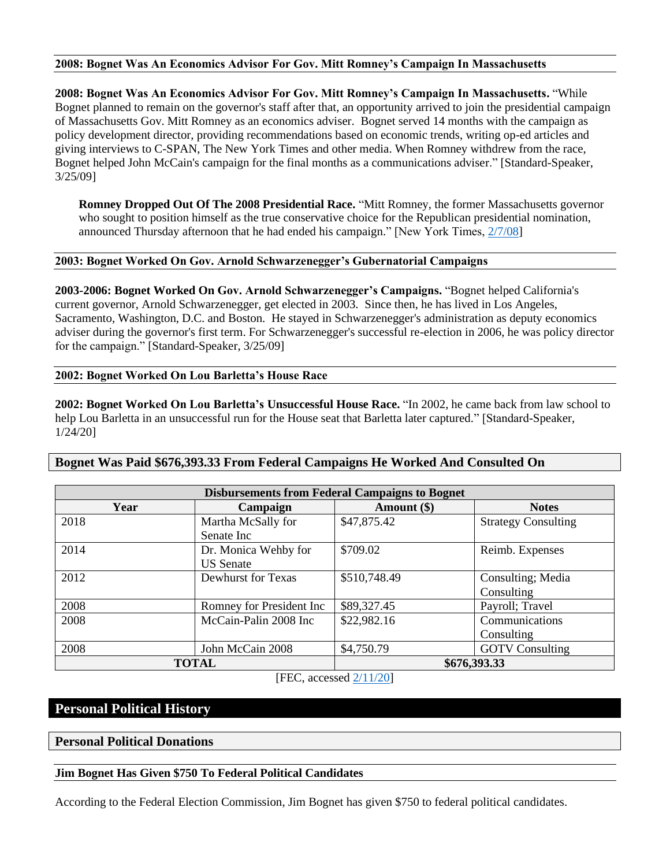#### **2008: Bognet Was An Economics Advisor For Gov. Mitt Romney's Campaign In Massachusetts**

**2008: Bognet Was An Economics Advisor For Gov. Mitt Romney's Campaign In Massachusetts.** "While Bognet planned to remain on the governor's staff after that, an opportunity arrived to join the presidential campaign of Massachusetts Gov. Mitt Romney as an economics adviser. Bognet served 14 months with the campaign as policy development director, providing recommendations based on economic trends, writing op-ed articles and giving interviews to C-SPAN, The New York Times and other media. When Romney withdrew from the race, Bognet helped John McCain's campaign for the final months as a communications adviser." [Standard-Speaker, 3/25/09]

**Romney Dropped Out Of The 2008 Presidential Race.** "Mitt Romney, the former Massachusetts governor who sought to position himself as the true conservative choice for the Republican presidential nomination, announced Thursday afternoon that he had ended his campaign." [New York Times, [2/7/08\]](https://www.nytimes.com/2008/02/07/us/politics/07cnd-repubs.html)

#### **2003: Bognet Worked On Gov. Arnold Schwarzenegger's Gubernatorial Campaigns**

**2003-2006: Bognet Worked On Gov. Arnold Schwarzenegger's Campaigns.** "Bognet helped California's current governor, Arnold Schwarzenegger, get elected in 2003. Since then, he has lived in Los Angeles, Sacramento, Washington, D.C. and Boston. He stayed in Schwarzenegger's administration as deputy economics adviser during the governor's first term. For Schwarzenegger's successful re-election in 2006, he was policy director for the campaign." [Standard-Speaker, 3/25/09]

#### **2002: Bognet Worked On Lou Barletta's House Race**

**2002: Bognet Worked On Lou Barletta's Unsuccessful House Race.** "In 2002, he came back from law school to help Lou Barletta in an unsuccessful run for the House seat that Barletta later captured." [Standard-Speaker, 1/24/20]

#### **Disbursements from Federal Campaigns to Bognet Year Campaign Amount (\$) Notes** 2018 Martha McSally for Senate Inc \$47,875.42 Strategy Consulting 2014 Dr. Monica Wehby for US Senate \$709.02 Reimb. Expenses 2012 Dewhurst for Texas \$510,748.49 Consulting; Media Consulting 2008 Romney for President Inc \$89,327.45 Payroll; Travel 2008 McCain-Palin 2008 Inc \$22,982.16 Communications Consulting 2008 John McCain 2008 | \$4,750.79 | GOTV Consulting **TOTAL \$676,393.33**

#### **Bognet Was Paid \$676,393.33 From Federal Campaigns He Worked And Consulted On**

[FEC, accessed [2/11/20\]](https://www.fec.gov/data/disbursements/?data_type=processed&recipient_name=Bognet&two_year_transaction_period=2004&two_year_transaction_period=2006&two_year_transaction_period=2008&two_year_transaction_period=2010&two_year_transaction_period=2012&two_year_transaction_period=2014&two_year_transaction_period=2016&two_year_transaction_period=2018)

## **Personal Political History**

#### **Personal Political Donations**

#### **Jim Bognet Has Given \$750 To Federal Political Candidates**

According to the Federal Election Commission, Jim Bognet has given \$750 to federal political candidates.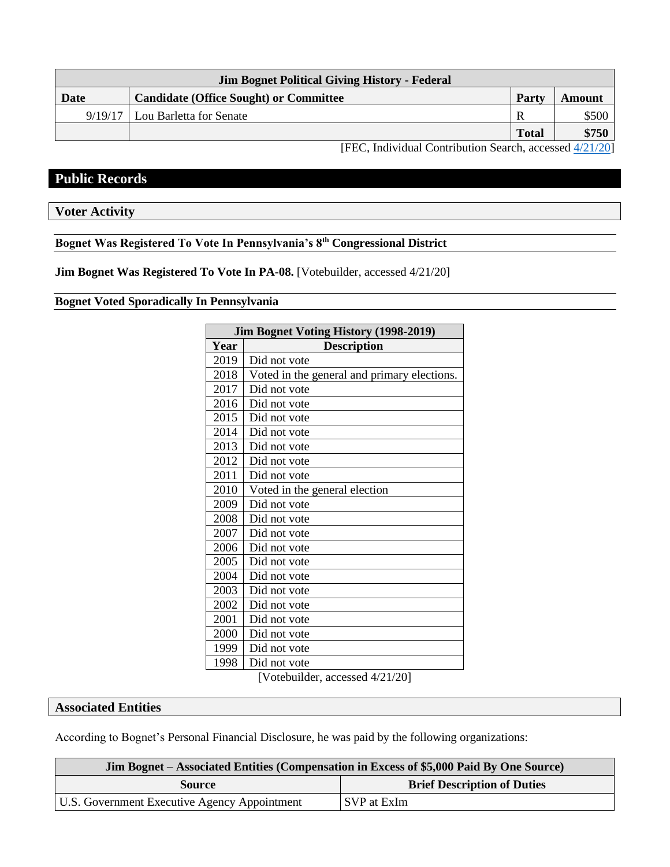| <b>Jim Bognet Political Giving History - Federal</b>    |                                               |              |        |  |  |
|---------------------------------------------------------|-----------------------------------------------|--------------|--------|--|--|
| Date                                                    | <b>Candidate (Office Sought) or Committee</b> | Party        | Amount |  |  |
| 9/19/17                                                 | Lou Barletta for Senate                       | R            | \$500  |  |  |
|                                                         |                                               | <b>Total</b> | \$750  |  |  |
| [FEC, Individual Contribution Search, accessed 4/21/20] |                                               |              |        |  |  |

**Public Records**

**Voter Activity**

# **Bognet Was Registered To Vote In Pennsylvania's 8th Congressional District**

**Jim Bognet Was Registered To Vote In PA-08.** [Votebuilder, accessed 4/21/20]

#### **Bognet Voted Sporadically In Pennsylvania**

| <b>Jim Bognet Voting History (1998-2019)</b> |                                             |  |  |  |
|----------------------------------------------|---------------------------------------------|--|--|--|
| Year                                         | <b>Description</b>                          |  |  |  |
| 2019                                         | Did not vote                                |  |  |  |
| 2018                                         | Voted in the general and primary elections. |  |  |  |
| 2017                                         | Did not vote                                |  |  |  |
| 2016                                         | Did not vote                                |  |  |  |
| 2015                                         | Did not vote                                |  |  |  |
| 2014                                         | Did not vote                                |  |  |  |
| 2013                                         | Did not vote                                |  |  |  |
| 2012                                         | Did not vote                                |  |  |  |
| 2011                                         | Did not vote                                |  |  |  |
| 2010                                         | Voted in the general election               |  |  |  |
| 2009                                         | Did not vote                                |  |  |  |
| 2008                                         | Did not vote                                |  |  |  |
| 2007                                         | Did not vote                                |  |  |  |
| 2006                                         | Did not vote                                |  |  |  |
| 2005                                         | Did not vote                                |  |  |  |
| 2004                                         | Did not vote                                |  |  |  |
| 2003                                         | Did not vote                                |  |  |  |
| 2002                                         | Did not vote                                |  |  |  |
| 2001                                         | Did not vote                                |  |  |  |
| 2000                                         | Did not vote                                |  |  |  |
| 1999                                         | Did not vote                                |  |  |  |
| 1998                                         | Did not vote                                |  |  |  |

[Votebuilder, accessed 4/21/20]

# **Associated Entities**

According to Bognet's Personal Financial Disclosure, he was paid by the following organizations:

| <b>Jim Bognet – Associated Entities (Compensation in Excess of \$5,000 Paid By One Source)</b> |                                    |  |  |  |
|------------------------------------------------------------------------------------------------|------------------------------------|--|--|--|
| Source                                                                                         | <b>Brief Description of Duties</b> |  |  |  |
| U.S. Government Executive Agency Appointment                                                   | SVP at ExIm                        |  |  |  |